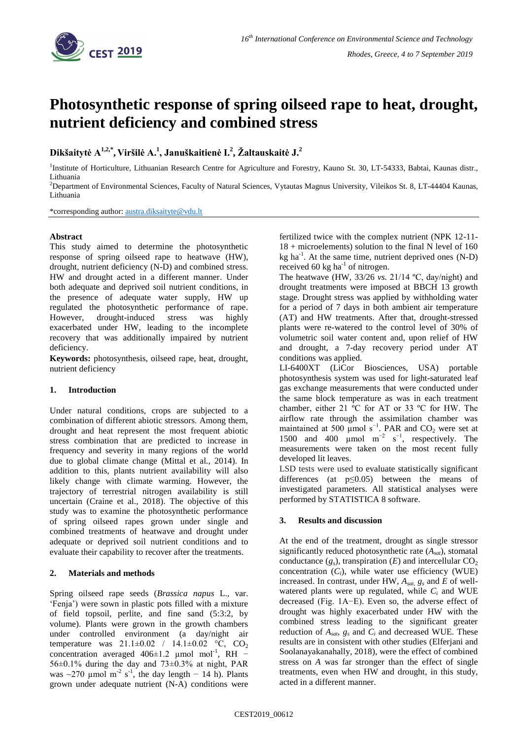

# **Photosynthetic response of spring oilseed rape to heat, drought, nutrient deficiency and combined stress**

**Dikšaitytė A1,2,\* , Viršilė A.<sup>1</sup> , Januškaitienė I.<sup>2</sup> , Žaltauskaitė J.<sup>2</sup>**

<sup>1</sup>Institute of Horticulture, Lithuanian Research Centre for Agriculture and Forestry, Kauno St. 30, LT-54333, Babtai, Kaunas distr., Lithuania

<sup>2</sup>Department of Environmental Sciences, Faculty of Natural Sciences, Vytautas Magnus University, Vileikos St. 8, LT-44404 Kaunas, Lithuania

\*corresponding author: [austra.diksaityte@vdu.lt](mailto:austra.diksaityte@vdu.lt)

## **Abstract**

This study aimed to determine the photosynthetic response of spring oilseed rape to heatwave (HW), drought, nutrient deficiency (N-D) and combined stress. HW and drought acted in a different manner. Under both adequate and deprived soil nutrient conditions, in the presence of adequate water supply, HW up regulated the photosynthetic performance of rape. However, drought-induced stress was highly exacerbated under HW, leading to the incomplete recovery that was additionally impaired by nutrient deficiency.

**Keywords:** photosynthesis, oilseed rape, heat, drought, nutrient deficiency

## **1. Introduction**

Under natural conditions, crops are subjected to a combination of different abiotic stressors. Among them, drought and heat represent the most frequent abiotic stress combination that are predicted to increase in frequency and severity in many regions of the world due to global climate change (Mittal et al., 2014). In addition to this, plants nutrient availability will also likely change with climate warming. However, the trajectory of terrestrial nitrogen availability is still uncertain (Craine et al., 2018). The objective of this study was to examine the photosynthetic performance of spring oilseed rapes grown under single and combined treatments of heatwave and drought under adequate or deprived soil nutrient conditions and to evaluate their capability to recover after the treatments.

## **2. Materials and methods**

Spring oilseed rape seeds (*Brassica napus* L., var. 'Fenja') were sown in plastic pots filled with a mixture of field topsoil, perlite, and fine sand (5:3:2, by volume). Plants were grown in the growth chambers under controlled environment (a day/night air temperature was  $21.1 \pm 0.02$  /  $14.1 \pm 0.02$  °C, CO<sub>2</sub> concentration averaged  $406 \pm 1.2$  µmol mol<sup>-1</sup>, RH – 56±0.1% during the day and 73±0.3% at night, PAR was ~270 µmol m<sup>-2</sup> s<sup>-1</sup>, the day length – 14 h). Plants grown under adequate nutrient (N-A) conditions were

fertilized twice with the complex nutrient (NPK 12-11- 18 + microelements) solution to the final N level of 160  $kg$  ha<sup>-1</sup>. At the same time, nutrient deprived ones (N-D) received  $60 \text{ kg}$  ha<sup>-1</sup> of nitrogen.

The heatwave (HW, 33/26 *vs.* 21/14 ºC, day/night) and drought treatments were imposed at BBCH 13 growth stage. Drought stress was applied by withholding water for a period of 7 days in both ambient air temperature (AT) and HW treatments. After that, drought-stressed plants were re-watered to the control level of 30% of volumetric soil water content and, upon relief of HW and drought, a 7-day recovery period under AT conditions was applied.

LI-6400XT (LiCor Biosciences, USA) portable photosynthesis system was used for light-saturated leaf gas exchange measurements that were conducted under the same block temperature as was in each treatment chamber, either 21 ºC for AT or 33 ºC for HW. The airflow rate through the assimilation chamber was maintained at 500 µmol s<sup>-1</sup>. PAR and  $CO_2$  were set at 1500 and 400  $\mu$ mol m<sup>-2</sup> s<sup>-1</sup>, respectively. The measurements were taken on the most recent fully developed lit leaves.

LSD tests were used to evaluate statistically significant differences (at  $p \leq 0.05$ ) between the means of investigated parameters. All statistical analyses were performed by STATISTICA 8 software.

## **3. Results and discussion**

At the end of the treatment, drought as single stressor significantly reduced photosynthetic rate (*Asat*), stomatal conductance  $(g_s)$ , transpiration  $(E)$  and intercellular  $CO_2$ concentration  $(C_i)$ , while water use efficiency (WUE) increased. In contrast, under HW,  $A_{\text{sat}}$ ,  $g_s$  and  $E$  of wellwatered plants were up regulated, while  $C_i$  and WUE decreased (Fig. 1A−E). Even so, the adverse effect of drought was highly exacerbated under HW with the combined stress leading to the significant greater reduction of *Asat*, *g<sup>s</sup>* and *C<sup>i</sup>* and decreased WUE. These results are in consistent with other studies (Elferjani and Soolanayakanahally, 2018), were the effect of combined stress on *A* was far stronger than the effect of single treatments, even when HW and drought, in this study, acted in a different manner.